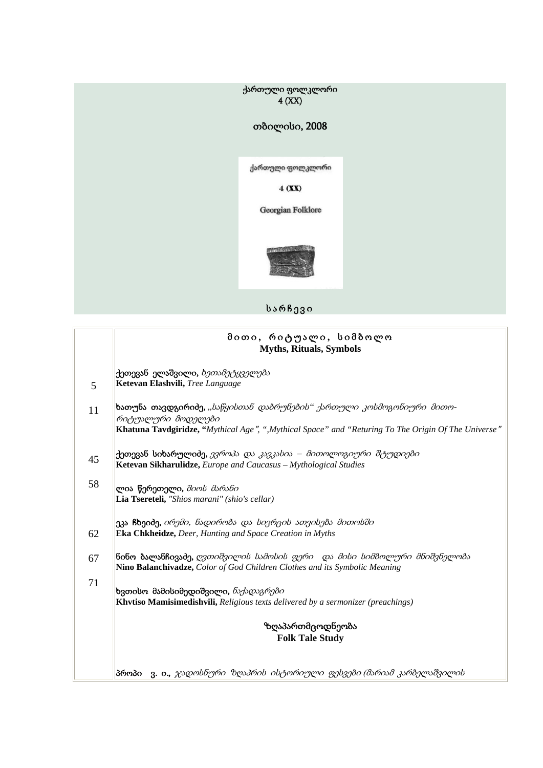ქართული ფოლკლორი  $4$  (XX)

## თბილისი, 2008

ქართული ფოლკლორი

 $4(XX)$ 

Georgian Folklore



სარჩევი

|    | მითი, რიტუალი, სიმბოლო<br><b>Myths, Rituals, Symbols</b>                                                                                                                                           |
|----|----------------------------------------------------------------------------------------------------------------------------------------------------------------------------------------------------|
| 5  | <b>ქეთევან ელაშვილი,</b> <i>ხეთამეტყველება</i><br>Ketevan Elashvili, Tree Language                                                                                                                 |
| 11 | ხათუნა თავდგირიძე, "საწყისთან დამრუნემის" ქართული კოსმოგონიური მითო-<br>რიტუალური მოდელები<br>Khatuna Tavdgiridze, "Mythical Age", ", Mythical Space" and "Returing To The Origin Of The Universe" |
| 45 | <b>ქეთევან სიხარულიძე,</b> <i>ევროპა და კავკასია – მითოლოგიური შტუდიები</i><br>Ketevan Sikharulidze, Europe and Caucasus - Mythological Studies                                                    |
| 58 | ლია წერეთელი, შიოს მარანი<br>Lia Tsereteli, "Shios marani" (shio's cellar)                                                                                                                         |
| 62 | ეკა ჩხეიძე, <i>ირემი, ნადირობა და სივრცის ათვისება მითოსში</i><br>Eka Chkheidze, Deer, Hunting and Space Creation in Myths                                                                         |
| 67 | <mark>ნინო ბალანჩივაძე,</mark> <i>ღვთიშვილის სამოსის ფერი _და მისი სიმბოლური მნიშვნელობა</i><br>Nino Balanchivadze, Color of God Children Clothes and its Symbolic Meaning                         |
| 71 | ხვთისო მამისიმედიშვილი, <i>ნაქადაგრები</i><br>Khvtiso Mamisimedishvili, Religious texts delivered by a sermonizer (preachings)                                                                     |
|    | ზღაპართმცოდნეობა<br><b>Folk Tale Study</b>                                                                                                                                                         |
|    | პროპი ვ. ი., ჯადოსნური ზღაპრის ისტორიული ფესვები (მარიამ კარბელაშვილის                                                                                                                             |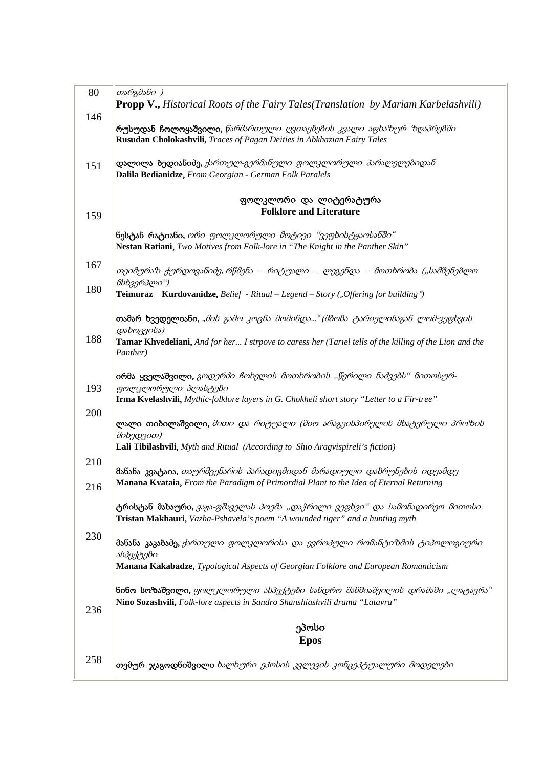| 80  | თარგმანი )                                                                                                                                                              |
|-----|-------------------------------------------------------------------------------------------------------------------------------------------------------------------------|
| 146 | <b>Propp V., Historical Roots of the Fairy Tales (Translation by Mariam Karbelashvili)</b>                                                                              |
|     | რუსუდან ჩოლოყაშვილი, <i>წარმართული ღვთაებების კვალი აფხაზურ ზღაპრებში</i><br>Rusudan Cholokashvili, Traces of Pagan Deities in Abkhazian Fairy Tales                    |
| 151 | დალილა ბედიანიძე, ქართულ-გერმანული ფოლკლორული პარალელებიდან<br>Dalila Bedianidze, From Georgian - German Folk Paralels                                                  |
| 159 | ფოლკლორი და ლიტერატურა<br><b>Folklore and Literature</b>                                                                                                                |
|     |                                                                                                                                                                         |
|     | <b>ნესტან რატიანი,</b> <i>ორი ფოლკლორული მოტივი "ვეფხისტყაოსანში"</i><br>Nestan Ratiani, Two Motives from Folk-lore in "The Knight in the Panther Skin"                 |
| 167 | თეიმურაზ ქურდოვანიძე, რწმენა – რიტუალი – ლეგენდა – მოთხრობა ("სამშენებლო<br>მსხვერპლი")                                                                                 |
| 180 | <b>Teimuraz</b> Kurdovanidze, Belief - Ritual – Legend – Story ("Offering for building")                                                                                |
|     | <b>თამარ ხვედელიანი,</b> " <i>მის გამო კოცნა მომინდა" (მბობა ტარიელისაგან ლომ-ვეფხვის</i><br>დახოცვისა)                                                                 |
| 188 | Tamar Khvedeliani, And for her I strpove to caress her (Tariel tells of the killing of the Lion and the<br>Panther)                                                     |
|     | <b>ირმა ყველაშვილი,</b> გ <i>ოდერძი ჩოხელის მოთხრობის "წერილი ნაძვებს" მითოსურ-</i><br>ფოლკლორული პლასტები                                                              |
| 193 | Irma Kvelashvili, Mythic-folklore layers in G. Chokheli short story "Letter to a Fir-tree"                                                                              |
| 200 | <b>ლალი თიბილაშვილი,</b> <i>მითი და რიტუალი (შიო არაგვისპირელის მხატვრული პროზის</i><br>მიხედვით)                                                                       |
| 210 | Lali Tibilashvili, Myth and Ritual (According to Shio Aragvispireli's fiction)                                                                                          |
| 216 | მანანა კვატაია, თაურმცენარის პარადიგმიდან მარადიული დამრუნების იდეამდე<br>Manana Kvataia, From the Paradigm of Primordial Plant to the Idea of Eternal Returning        |
|     | ტრისტან მახაური, ვაჟა-ფშაველას პოემა "და <i>ჭრილი ვეფხვი" და სამონადირეო მითოსი</i><br>Tristan Makhauri, Vazha-Pshavela's poem "A wounded tiger" and a hunting myth     |
| 230 | <mark>მანანა კაკაბაძე,</mark> <i>ქართული ფოლკლორისა და ევროპული რომანტიზმის ტიპოლოგიური</i>                                                                             |
|     | ასპექტები<br>Manana Kakabadze, Typological Aspects of Georgian Folklore and European Romanticism                                                                        |
| 236 | <b>ნინო სოზაშვილი,</b> <i>ფოლკლორული ასპექტები სანდრო შანშიაშვილის დრამაში "ლატავრა"</i><br>Nino Sozashvili, Folk-lore aspects in Sandro Shanshiashvili drama "Latavra" |
|     | ეპოსი                                                                                                                                                                   |
|     | <b>Epos</b>                                                                                                                                                             |
| 258 | <b>თემურ ჯაგოდნიშვილი</b> ხალხ <i>ური ეპოსის კვლევის კონცეპტუალური მოდელები</i>                                                                                         |